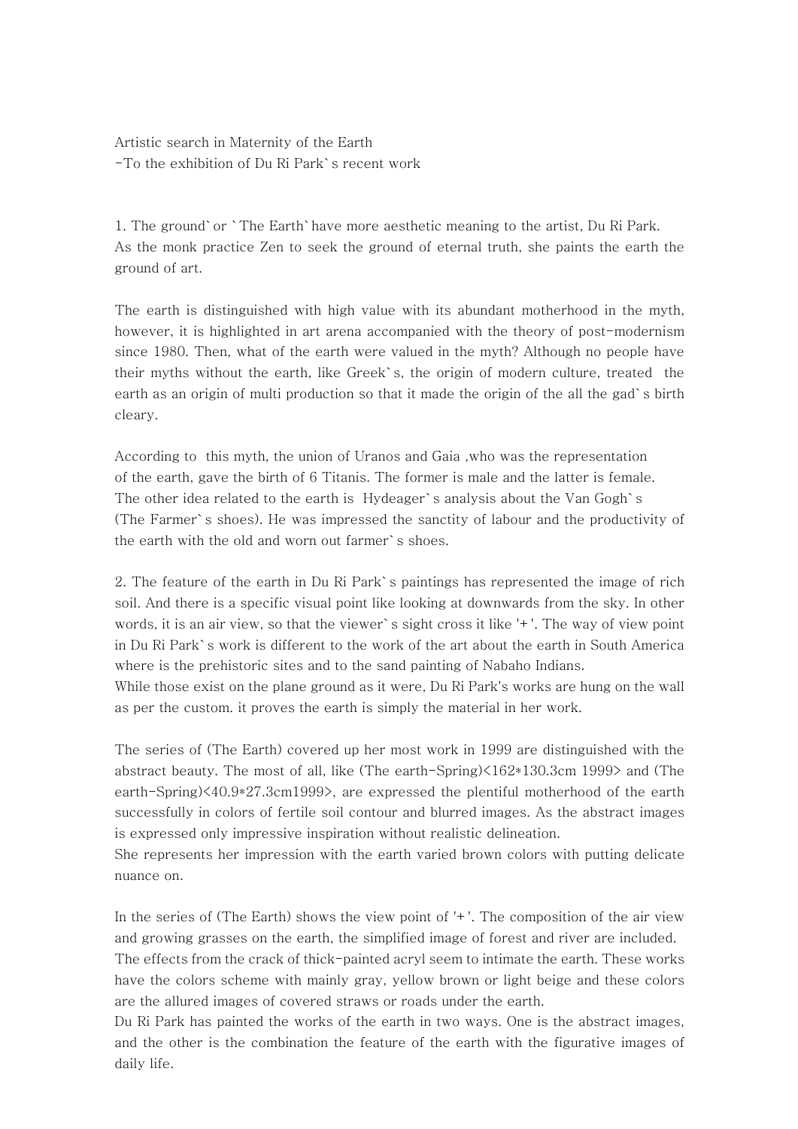Artistic search in Maternity of the Earth -To the exhibition of Du Ri Park`s recent work

1. The ground`or `The Earth`have more aesthetic meaning to the artist, Du Ri Park. As the monk practice Zen to seek the ground of eternal truth, she paints the earth the ground of art.

The earth is distinguished with high value with its abundant motherhood in the myth, however, it is highlighted in art arena accompanied with the theory of post-modernism since 1980. Then, what of the earth were valued in the myth? Although no people have their myths without the earth, like Greek`s, the origin of modern culture, treated the earth as an origin of multi production so that it made the origin of the all the gad`s birth cleary.

According to this myth, the union of Uranos and Gaia ,who was the representation of the earth, gave the birth of 6 Titanis. The former is male and the latter is female. The other idea related to the earth is Hydeager`s analysis about the Van Gogh`s (The Farmer`s shoes). He was impressed the sanctity of labour and the productivity of the earth with the old and worn out farmer`s shoes.

2. The feature of the earth in Du Ri Park`s paintings has represented the image of rich soil. And there is a specific visual point like looking at downwards from the sky. In other words, it is an air view, so that the viewer`s sight cross it like '+'. The way of view point in Du Ri Park`s work is different to the work of the art about the earth in South America where is the prehistoric sites and to the sand painting of Nabaho Indians.

While those exist on the plane ground as it were, Du Ri Park's works are hung on the wall as per the custom. it proves the earth is simply the material in her work.

The series of (The Earth) covered up her most work in 1999 are distinguished with the abstract beauty. The most of all, like (The earth-Spring)<162\*130.3cm 1999> and (The earth-Spring)<40.9\*27.3cm1999>, are expressed the plentiful motherhood of the earth successfully in colors of fertile soil contour and blurred images. As the abstract images is expressed only impressive inspiration without realistic delineation.

She represents her impression with the earth varied brown colors with putting delicate nuance on.

In the series of (The Earth) shows the view point of  $'$ +'. The composition of the air view and growing grasses on the earth, the simplified image of forest and river are included. The effects from the crack of thick-painted acryl seem to intimate the earth. These works have the colors scheme with mainly gray, yellow brown or light beige and these colors are the allured images of covered straws or roads under the earth.

Du Ri Park has painted the works of the earth in two ways. One is the abstract images, and the other is the combination the feature of the earth with the figurative images of daily life.